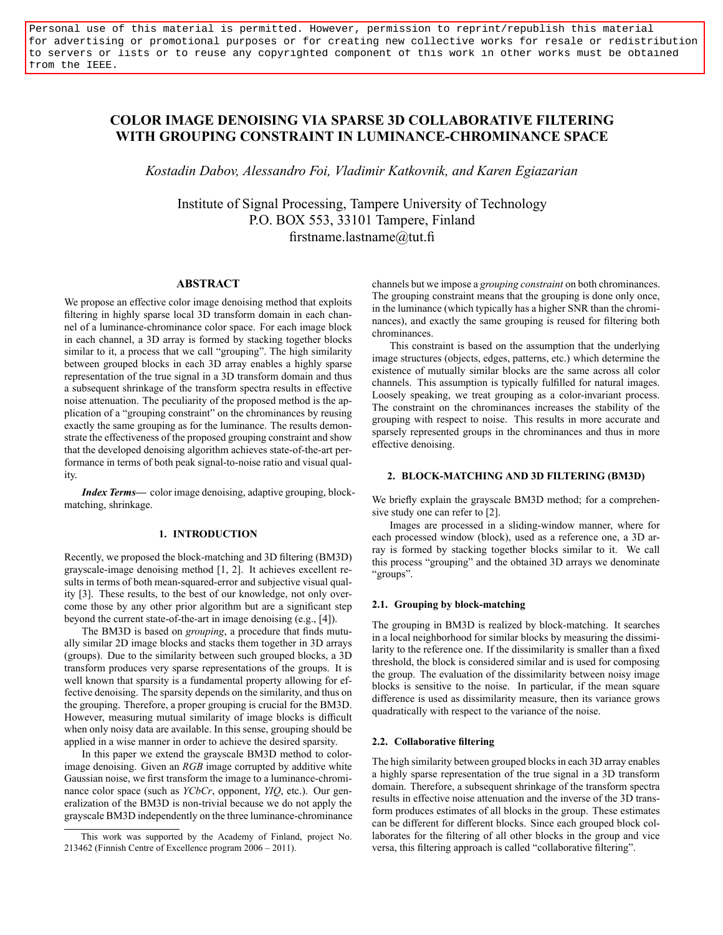Personal use of this material is permitted. However, permission to reprint/republish this material for advertising or promotional purposes or for creating new collective works for resale or redistribution to servers or lists or to reuse any copyrighted component of this work in other works must be obtained from the IEEE.

# COLOR IMAGE DENOISING VIA SPARSE 3D COLLABORATIVE FILTERING WITH GROUPING CONSTRAINT IN LUMINANCE-CHROMINANCE SPACE

Kostadin Dabov, Alessandro Foi, Vladimir Katkovnik, and Karen Egiazarian

Institute of Signal Processing, Tampere University of Technology P.O. BOX 553, 33101 Tampere, Finland firstname.lastname@tut.fi

## ABSTRACT

We propose an effective color image denoising method that exploits filtering in highly sparse local 3D transform domain in each channel of a luminance-chrominance color space. For each image block in each channel, a 3D array is formed by stacking together blocks similar to it, a process that we call "grouping". The high similarity between grouped blocks in each 3D array enables a highly sparse representation of the true signal in a 3D transform domain and thus a subsequent shrinkage of the transform spectra results in effective noise attenuation. The peculiarity of the proposed method is the application of a "grouping constraint" on the chrominances by reusing exactly the same grouping as for the luminance. The results demonstrate the effectiveness of the proposed grouping constraint and show that the developed denoising algorithm achieves state-of-the-art performance in terms of both peak signal-to-noise ratio and visual quality.

Index Terms— color image denoising, adaptive grouping, blockmatching, shrinkage.

# 1. INTRODUCTION

Recently, we proposed the block-matching and 3D filtering (BM3D) grayscale-image denoising method [1, 2]. It achieves excellent results in terms of both mean-squared-error and subjective visual quality [3]. These results, to the best of our knowledge, not only overcome those by any other prior algorithm but are a significant step beyond the current state-of-the-art in image denoising (e.g., [4]).

The BM3D is based on grouping, a procedure that finds mutually similar 2D image blocks and stacks them together in 3D arrays (groups). Due to the similarity between such grouped blocks, a 3D transform produces very sparse representations of the groups. It is well known that sparsity is a fundamental property allowing for effective denoising. The sparsity depends on the similarity, and thus on the grouping. Therefore, a proper grouping is crucial for the BM3D. However, measuring mutual similarity of image blocks is difficult when only noisy data are available. In this sense, grouping should be applied in a wise manner in order to achieve the desired sparsity.

In this paper we extend the grayscale BM3D method to colorimage denoising. Given an RGB image corrupted by additive white Gaussian noise, we first transform the image to a luminance-chrominance color space (such as *YCbCr*, opponent, *YIQ*, etc.). Our generalization of the BM3D is non-trivial because we do not apply the grayscale BM3D independently on the three luminance-chrominance channels but we impose a grouping constraint on both chrominances. The grouping constraint means that the grouping is done only once, in the luminance (which typically has a higher SNR than the chrominances), and exactly the same grouping is reused for filtering both chrominances.

This constraint is based on the assumption that the underlying image structures (objects, edges, patterns, etc.) which determine the existence of mutually similar blocks are the same across all color channels. This assumption is typically fulfilled for natural images. Loosely speaking, we treat grouping as a color-invariant process. The constraint on the chrominances increases the stability of the grouping with respect to noise. This results in more accurate and sparsely represented groups in the chrominances and thus in more effective denoising.

# 2. BLOCK-MATCHING AND 3D FILTERING (BM3D)

We briefly explain the grayscale BM3D method; for a comprehensive study one can refer to [2].

Images are processed in a sliding-window manner, where for each processed window (block), used as a reference one, a 3D array is formed by stacking together blocks similar to it. We call this process "grouping" and the obtained 3D arrays we denominate "groups".

## 2.1. Grouping by block-matching

The grouping in BM3D is realized by block-matching. It searches in a local neighborhood for similar blocks by measuring the dissimilarity to the reference one. If the dissimilarity is smaller than a fixed threshold, the block is considered similar and is used for composing the group. The evaluation of the dissimilarity between noisy image blocks is sensitive to the noise. In particular, if the mean square difference is used as dissimilarity measure, then its variance grows quadratically with respect to the variance of the noise.

#### 2.2. Collaborative filtering

The high similarity between grouped blocks in each 3D array enables a highly sparse representation of the true signal in a 3D transform domain. Therefore, a subsequent shrinkage of the transform spectra results in effective noise attenuation and the inverse of the 3D transform produces estimates of all blocks in the group. These estimates can be different for different blocks. Since each grouped block collaborates for the filtering of all other blocks in the group and vice versa, this filtering approach is called "collaborative filtering".

This work was supported by the Academy of Finland, project No. 213462 (Finnish Centre of Excellence program  $2006 - 2011$ ).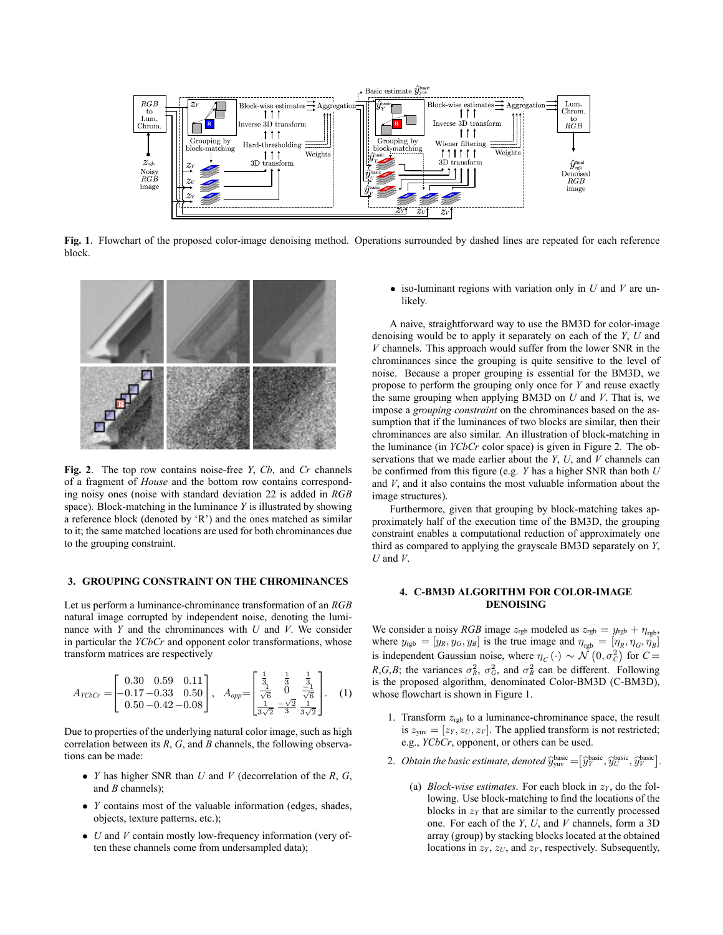

Fig. 1. Flowchart of the proposed color-image denoising method. Operations surrounded by dashed lines are repeated for each reference block.



Fig. 2. The top row contains noise-free  $Y$ ,  $Cb$ , and  $Cr$  channels of a fragment of House and the bottom row contains corresponding noisy ones (noise with standard deviation 22 is added in RGB space). Block-matching in the luminance  $Y$  is illustrated by showing a reference block (denoted by `R') and the ones matched as similar to it; the same matched locations are used for both chrominances due to the grouping constraint.

### 3. GROUPING CONSTRAINT ON THE CHROMINANCES

Let us perform a luminance-chrominance transformation of an RGB natural image corrupted by independent noise, denoting the luminance with  $Y$  and the chrominances with  $U$  and  $V$ . We consider in particular the YCbCr and opponent color transformations, whose transform matrices are respectively

$$
A_{YCbCr} = \begin{bmatrix} 0.30 & 0.59 & 0.11 \\ -0.17 & -0.33 & 0.50 \\ 0.50 & -0.42 & -0.08 \end{bmatrix}, \quad A_{opp} = \begin{bmatrix} \frac{1}{3} & \frac{1}{3} & \frac{1}{3} \\ \frac{1}{\sqrt{6}} & 0 & \frac{-1}{\sqrt{6}} \\ \frac{1}{3\sqrt{2}} & \frac{-\sqrt{2}}{3} & \frac{1}{3\sqrt{2}} \end{bmatrix}.
$$
 (1)

Due to properties of the underlying natural color image, such as high correlation between its  $R$ ,  $G$ , and  $B$  channels, the following observations can be made:

- *Y* has higher SNR than  $U$  and  $V$  (decorrelation of the  $R$ ,  $G$ , and *B* channels);
- Y contains most of the valuable information (edges, shades, objects, texture patterns, etc.);
- $\bullet$  *U* and *V* contain mostly low-frequency information (very often these channels come from undersampled data);

• iso-luminant regions with variation only in  $U$  and  $V$  are unlikely.

A naive, straightforward way to use the BM3D for color-image denoising would be to apply it separately on each of the Y, U and  $V$  channels. This approach would suffer from the lower SNR in the chrominances since the grouping is quite sensitive to the level of noise. Because a proper grouping is essential for the BM3D, we propose to perform the grouping only once for Y and reuse exactly the same grouping when applying BM3D on  $U$  and  $V$ . That is, we impose a grouping constraint on the chrominances based on the assumption that if the luminances of two blocks are similar, then their chrominances are also similar. An illustration of block-matching in the luminance (in YCbCr color space) is given in Figure 2. The observations that we made earlier about the  $Y$ ,  $U$ , and  $V$  channels can be confirmed from this figure (e.g.  $Y$  has a higher SNR than both  $U$ and V, and it also contains the most valuable information about the image structures).

Furthermore, given that grouping by block-matching takes approximately half of the execution time of the BM3D, the grouping constraint enables a computational reduction of approximately one third as compared to applying the grayscale BM3D separately on Y,  $U$  and  $V$ .

# 4. C-BM3D ALGORITHM FOR COLOR-IMAGE DENOISING

We consider a noisy RGB image  $z_{rgb}$  modeled as  $z_{rgb} = y_{rgb} + \eta_{rgb}$ , where  $y_{rgb} = [y_R, y_G, y_B]$  is the true image and  $\eta_{rgb} = [\eta_R, \eta_G, \eta_B]$ is independent Gaussian noise, where  $\eta_C(\cdot) \sim \mathcal{N}(0, \sigma_C^2)$  for  $C =$ R, G, B; the variances  $\sigma_R^2$ ,  $\sigma_G^2$ , and  $\sigma_B^2$  can be different. Following is the proposed algorithm, denominated Color-BM3D (C-BM3D), whose flowchart is shown in Figure 1.

- 1. Transform  $z_{rgb}$  to a luminance-chrominance space, the result is  $z_{\text{yuv}} = [z_Y, z_U, z_V]$ . The applied transform is not restricted; e.g., YCbCr, opponent, or others can be used.
- 2. Obtain the basic estimate, denoted  $\widehat{y}_{\text{yuv}}^{\text{basic}} = [\widehat{y}_{Y}^{\text{basic}}, \widehat{y}_{U}^{\text{basic}}, \widehat{y}_{V}^{\text{basic}}]$ .
	- (a) *Block-wise estimates*. For each block in  $z<sub>Y</sub>$ , do the following. Use block-matching to find the locations of the blocks in  $z<sub>Y</sub>$  that are similar to the currently processed one. For each of the  $Y$ ,  $U$ , and  $V$  channels, form a 3D array (group) by stacking blocks located at the obtained locations in  $z<sub>Y</sub>$ ,  $z<sub>U</sub>$ , and  $z<sub>V</sub>$ , respectively. Subsequently,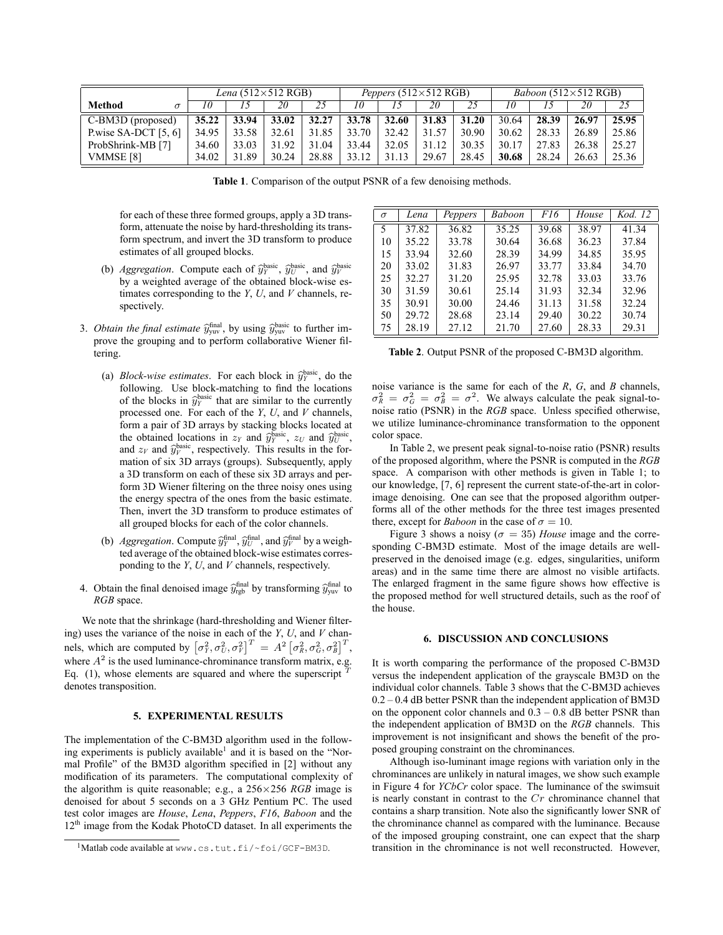|                        | Lena $(512\times512$ RGB) |       |       | Peppers $(512\times512$ RGB) |       |       |       | <i>Baboon</i> $(512\times512$ RGB) |       |       |       |       |
|------------------------|---------------------------|-------|-------|------------------------------|-------|-------|-------|------------------------------------|-------|-------|-------|-------|
| <b>Method</b>          |                           |       | 20    | 25                           | 10    |       | 20    |                                    | 10    |       | 20    | 25    |
| $C-BM3D$ (proposed)    | 35.22                     | 33.94 | 33.02 | 32.27                        | 33.78 | 32.60 | 31.83 | 31.20                              | 30.64 | 28.39 | 26.97 | 25.95 |
| P.wise SA-DCT $[5, 6]$ | 34.95                     | 33.58 | 32.61 | 31.85                        | 33.70 | 32.42 | 31.57 | 30.90                              | 30.62 | 28.33 | 26.89 | 25.86 |
| ProbShrink-MB [7]      | 34.60                     | 33.03 | 31.92 | 31.04                        | 33.44 | 32.05 | 31.12 | 30.35                              | 30.17 | 27.83 | 26.38 | 25.27 |
| VMMSE [8]              | 34.02                     | 31.89 | 30.24 | 28.88                        | 33.12 | 31.13 | 29.67 | 28.45                              | 30.68 | 28.24 | 26.63 | 25.36 |

Table 1. Comparison of the output PSNR of a few denoising methods.

for each of these three formed groups, apply a 3D transform, attenuate the noise by hard-thresholding its transform spectrum, and invert the 3D transform to produce estimates of all grouped blocks.

- (b) Aggregation. Compute each of  $\hat{y}_Y^{\text{basic}}$ ,  $\hat{y}_Y^{\text{basic}}$ , and  $\hat{y}_Y^{\text{basic}}$ by a weighted average of the obtained block-wise estimates corresponding to the  $Y$ ,  $U$ , and  $V$  channels, respectively.
- 3. Obtain the final estimate  $\hat{y}_{\text{yuv}}^{\text{final}}$ , by using  $\hat{y}_{\text{yuv}}^{\text{basic}}$  to further im-<br>namely be examine and to nother adhologentius Wisner fil prove the grouping and to perform collaborative Wiener filtering.
	- (a) *Block-wise estimates*. For each block in  $\hat{y}_2^{\text{basic}}$ , do the following. Use block-matching to find the locations of the blocks in  $\hat{y}^{\text{basic}}$  that are similar to the currently processed one. For each of the  $Y$ ,  $U$ , and  $V$  channels, form a pair of 3D arrays by stacking blocks located at the obtained locations in  $z_y$  and  $\widehat{y}_y^{\text{basic}}$ ,  $z_y$  and  $\widehat{y}_y^{\text{basic}}$ and  $z_V$  and  $\hat{y}_V^{\text{basic}}$ , respectively. This results in the formation of six 3D arrays (groups). Subsequently, apply a 3D transform on each of these six 3D arrays and perform 3D Wiener filtering on the three noisy ones using the energy spectra of the ones from the basic estimate. Then, invert the 3D transform to produce estimates of all grouped blocks for each of the color channels.
	- (b) Aggregation. Compute  $\hat{y}_Y^{\text{final}}$ ,  $\hat{y}_Y^{\text{final}}$ , and  $\hat{y}_Y^{\text{final}}$  by a weighted average of the obtained block-wise estimates corresponding to the  $Y$ ,  $U$ , and  $V$  channels, respectively.
- 4. Obtain the final denoised image  $\hat{y}^{\text{final}}_{\text{rgb}}$  by transforming  $\hat{y}^{\text{final}}_{\text{yuv}}$  to RGB space.

We note that the shrinkage (hard-thresholding and Wiener filtering) uses the variance of the noise in each of the  $Y$ ,  $U$ , and  $V$  channels, which are computed by  $\left[\sigma_Y^2, \sigma_U^2, \sigma_Y^2\right]^T = A^2 \left[\sigma_R^2, \sigma_G^2, \sigma_B^2\right]^T$ , where  $A^2$  is the used luminance-chrominance transform matrix, e.g. Eq.  $(1)$ , whose elements are squared and where the superscript denotes transposition.

#### 5. EXPERIMENTAL RESULTS

The implementation of the C-BM3D algorithm used in the following experiments is publicly available<sup>1</sup> and it is based on the "Normal Profile" of the BM3D algorithm specified in [2] without any modification of its parameters. The computational complexity of the algorithm is quite reasonable; e.g., a  $256 \times 256$  *RGB* image is denoised for about 5 seconds on a 3 GHz Pentium PC. The used test color images are House, Lena, Peppers, F16, Baboon and the  $12<sup>th</sup>$  image from the Kodak PhotoCD dataset. In all experiments the

| $\sigma$ | Lena  | Peppers | Baboon | F16   | House | Kod. 12 |
|----------|-------|---------|--------|-------|-------|---------|
| 5        | 37.82 | 36.82   | 35.25  | 39.68 | 38.97 | 41.34   |
| 10       | 35.22 | 33.78   | 30.64  | 36.68 | 36.23 | 37.84   |
| 15       | 33.94 | 32.60   | 28.39  | 34.99 | 34.85 | 35.95   |
| 20       | 33.02 | 31.83   | 26.97  | 33.77 | 33.84 | 34.70   |
| 25       | 32.27 | 31.20   | 25.95  | 32.78 | 33.03 | 33.76   |
| 30       | 31.59 | 30.61   | 25.14  | 31.93 | 32.34 | 32.96   |
| 35       | 30.91 | 30.00   | 24.46  | 31.13 | 31.58 | 32.24   |
| 50       | 29.72 | 28.68   | 23.14  | 29.40 | 30.22 | 30.74   |
| 75       | 28.19 | 27.12   | 21.70  | 27.60 | 28.33 | 29.31   |

Table 2. Output PSNR of the proposed C-BM3D algorithm.

noise variance is the same for each of the  $R$ ,  $G$ , and  $B$  channels,  $\sigma_R^2 = \sigma_G^2 = \sigma_B^2 = \sigma^2$ . We always calculate the peak signal-tonoise ratio (PSNR) in the RGB space. Unless specified otherwise, we utilize luminance-chrominance transformation to the opponent color space.

In Table 2, we present peak signal-to-noise ratio (PSNR) results of the proposed algorithm, where the PSNR is computed in the RGB space. A comparison with other methods is given in Table 1; to our knowledge, [7, 6] represent the current state-of-the-art in colorimage denoising. One can see that the proposed algorithm outperforms all of the other methods for the three test images presented there, except for *Baboon* in the case of  $\sigma = 10$ .

Figure 3 shows a noisy ( $\sigma = 35$ ) House image and the corresponding C-BM3D estimate. Most of the image details are wellpreserved in the denoised image (e.g. edges, singularities, uniform areas) and in the same time there are almost no visible artifacts. The enlarged fragment in the same figure shows how effective is the proposed method for well structured details, such as the roof of the house.

### 6. DISCUSSION AND CONCLUSIONS

It is worth comparing the performance of the proposed C-BM3D versus the independent application of the grayscale BM3D on the individual color channels. Table 3 shows that the C-BM3D achieves  $0.2 - 0.4$  dB better PSNR than the independent application of BM3D on the opponent color channels and  $0.3 - 0.8$  dB better PSNR than the independent application of BM3D on the RGB channels. This improvement is not insignificant and shows the benefit of the proposed grouping constraint on the chrominances.

Although iso-luminant image regions with variation only in the chrominances are unlikely in natural images, we show such example in Figure 4 for YCbCr color space. The luminance of the swimsuit is nearly constant in contrast to the  $Cr$  chrominance channel that contains a sharp transition. Note also the significantly lower SNR of the chrominance channel as compared with the luminance. Because of the imposed grouping constraint, one can expect that the sharp transition in the chrominance is not well reconstructed. However,

<sup>1</sup>Matlab code available at www.cs.tut.fi/~foi/GCF-BM3D.